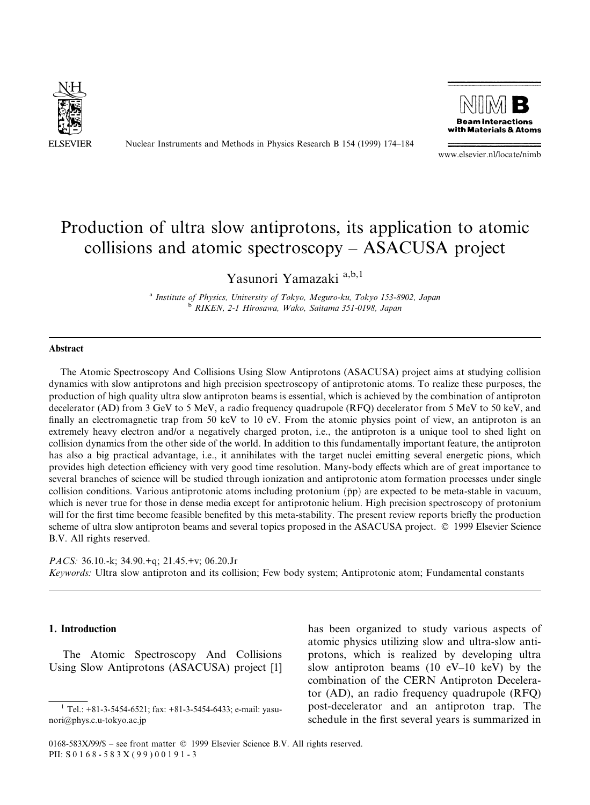

Nuclear Instruments and Methods in Physics Research B 154 (1999) 174-184



www.elsevier.nl/locate/nimb

# Production of ultra slow antiprotons, its application to atomic collisions and atomic spectroscopy  $-$  ASACUSA project

Yasunori Yamazaki a,b,1

a Institute of Physics, University of Tokyo, Meguro-ku, Tokyo 153-8902, Japan b RIKEN, 2-1 Hirosawa, Wako, Saitama 351-0198, Japan

#### Abstract

The Atomic Spectroscopy And Collisions Using Slow Antiprotons (ASACUSA) project aims at studying collision dynamics with slow antiprotons and high precision spectroscopy of antiprotonic atoms. To realize these purposes, the production of high quality ultra slow antiproton beams is essential, which is achieved by the combination of antiproton decelerator (AD) from 3 GeV to 5 MeV, a radio frequency quadrupole (RFQ) decelerator from 5 MeV to 50 keV, and finally an electromagnetic trap from 50 keV to 10 eV. From the atomic physics point of view, an antiproton is an extremely heavy electron and/or a negatively charged proton, i.e., the antiproton is a unique tool to shed light on collision dynamics from the other side of the world. In addition to this fundamentally important feature, the antiproton has also a big practical advantage, i.e., it annihilates with the target nuclei emitting several energetic pions, which provides high detection efficiency with very good time resolution. Many-body effects which are of great importance to several branches of science will be studied through ionization and antiprotonic atom formation processes under single collision conditions. Various antiprotonic atoms including protonium  $(\bar{p}p)$  are expected to be meta-stable in vacuum, which is never true for those in dense media except for antiprotonic helium. High precision spectroscopy of protonium will for the first time become feasible benefited by this meta-stability. The present review reports briefly the production scheme of ultra slow antiproton beams and several topics proposed in the ASACUSA project. © 1999 Elsevier Science B.V. All rights reserved.

PACS: 36.10.-k; 34.90.+q; 21.45.+v; 06.20.Jr Keywords: Ultra slow antiproton and its collision; Few body system; Antiprotonic atom; Fundamental constants

### 1. Introduction

The Atomic Spectroscopy And Collisions Using Slow Antiprotons (ASACUSA) project [1] has been organized to study various aspects of atomic physics utilizing slow and ultra-slow antiprotons, which is realized by developing ultra slow antiproton beams (10  $eV-10$  keV) by the combination of the CERN Antiproton Decelerator (AD), an radio frequency quadrupole (RFQ) post-decelerator and an antiproton trap. The schedule in the first several years is summarized in

 $0168-583X/99/S$  – see front matter  $\odot$  1999 Elsevier Science B.V. All rights reserved. PII: S 0 1 6 8 - 5 8 3 X ( 9 9 ) 0 0 1 9 1 - 3

 $1$  Tel.: +81-3-5454-6521; fax: +81-3-5454-6433; e-mail: yasunori@phys.c.u-tokyo.ac.jp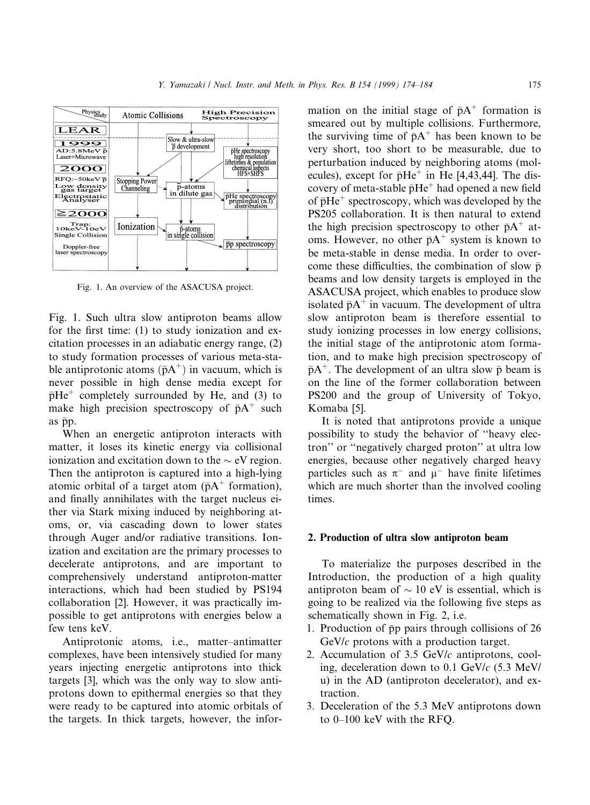

Fig. 1. An overview of the ASACUSA project.

Fig. 1. Such ultra slow antiproton beams allow for the first time:  $(1)$  to study ionization and excitation processes in an adiabatic energy range, (2) to study formation processes of various meta-stable antiprotonic atoms  $(\bar{p}A^+)$  in vacuum, which is never possible in high dense media except for  $\bar{p}He^+$  completely surrounded by He, and (3) to make high precision spectroscopy of  $\bar{p}A^+$  such as  $\bar{p}p$ .

When an energetic antiproton interacts with matter, it loses its kinetic energy via collisional ionization and excitation down to the  $\sim$  eV region. Then the antiproton is captured into a high-lying atomic orbital of a target atom ( $\bar{p}A^+$  formation), and finally annihilates with the target nucleus either via Stark mixing induced by neighboring atoms, or, via cascading down to lower states through Auger and/or radiative transitions. Ionization and excitation are the primary processes to decelerate antiprotons, and are important to comprehensively understand antiproton-matter interactions, which had been studied by PS194 collaboration [2]. However, it was practically impossible to get antiprotons with energies below a few tens keV.

Antiprotonic atoms, i.e., matter-antimatter complexes, have been intensively studied for many years injecting energetic antiprotons into thick targets [3], which was the only way to slow antiprotons down to epithermal energies so that they were ready to be captured into atomic orbitals of the targets. In thick targets, however, the infor-

mation on the initial stage of  $\bar{p}A^+$  formation is smeared out by multiple collisions. Furthermore, the surviving time of  $\bar{p}A^+$  has been known to be very short, too short to be measurable, due to perturbation induced by neighboring atoms (molecules), except for  $\bar{p}He^+$  in He [4,43,44]. The discovery of meta-stable  $\bar{p}He^+$  had opened a new field of  $\bar{p}He^+$  spectroscopy, which was developed by the PS205 collaboration. It is then natural to extend the high precision spectroscopy to other  $\bar{p}A^+$  atoms. However, no other  $\bar{p}A^+$  system is known to be meta-stable in dense media. In order to overcome these difficulties, the combination of slow  $\bar{p}$ beams and low density targets is employed in the ASACUSA project, which enables to produce slow isolated  $\bar{p}A^+$  in vacuum. The development of ultra slow antiproton beam is therefore essential to study ionizing processes in low energy collisions, the initial stage of the antiprotonic atom formation, and to make high precision spectroscopy of  $\bar{p}A^+$ . The development of an ultra slow  $\bar{p}$  beam is on the line of the former collaboration between PS200 and the group of University of Tokyo, Komaba [5].

It is noted that antiprotons provide a unique possibility to study the behavior of "heavy electron'' or ``negatively charged proton'' at ultra low energies, because other negatively charged heavy particles such as  $\pi^-$  and  $\mu^-$  have finite lifetimes which are much shorter than the involved cooling times.

#### 2. Production of ultra slow antiproton beam

To materialize the purposes described in the Introduction, the production of a high quality antiproton beam of  $\sim$  10 eV is essential, which is going to be realized via the following five steps as schematically shown in Fig. 2, i.e.

- 1. Production of  $\bar{p}p$  pairs through collisions of 26 GeV/c protons with a production target.
- 2. Accumulation of  $3.5$  GeV/ $c$  antiprotons, cooling, deceleration down to 0.1 GeV/c (5.3 MeV/ u) in the AD (antiproton decelerator), and extraction.
- 3. Deceleration of the 5.3 MeV antiprotons down to  $0-100$  keV with the RFQ.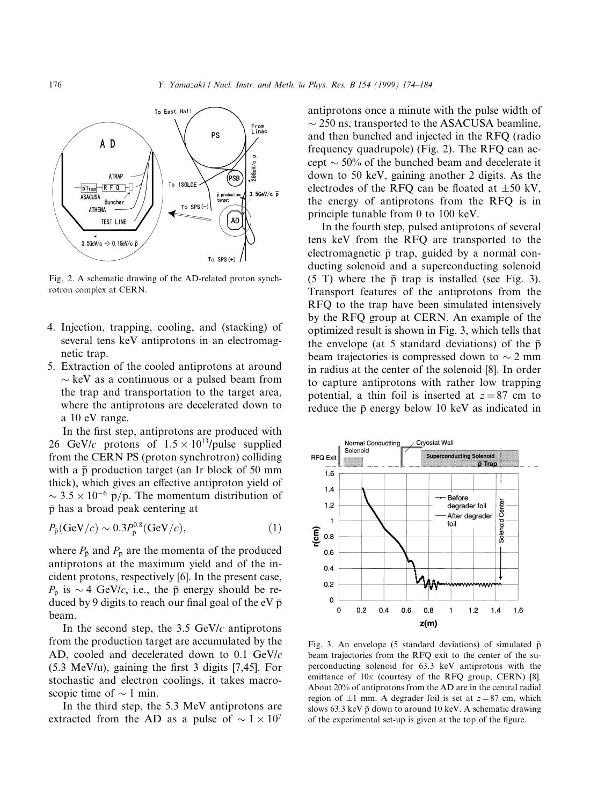

Fig. 2. A schematic drawing of the AD-related proton synchrotron complex at CERN.

- 4. Injection, trapping, cooling, and (stacking) of several tens keV antiprotons in an electromagnetic trap.
- 5. Extraction of the cooled antiprotons at around  $\sim$  keV as a continuous or a pulsed beam from the trap and transportation to the target area, where the antiprotons are decelerated down to a 10 eV range.

In the first step, antiprotons are produced with 26 GeV/c protons of  $1.5 \times 10^{13}$ /pulse supplied from the CERN PS (proton synchrotron) colliding with a  $\bar{p}$  production target (an Ir block of 50 mm thick), which gives an effective antiproton yield of  $\sim$  3.5  $\times$  10<sup>-6</sup> p̄/p. The momentum distribution of p has a broad peak centering at

$$
P_{\bar{p}}(\text{GeV}/c) \sim 0.3 P_{p}^{0.8}(\text{GeV}/c),\tag{1}
$$

where  $P_{\overline{p}}$  and  $P_p$  are the momenta of the produced antiprotons at the maximum yield and of the incident protons, respectively [6]. In the present case,  $P_{\overline{p}}$  is  $\sim$  4 GeV/c, i.e., the  $\overline{p}$  energy should be reduced by 9 digits to reach our final goal of the eV  $\bar{p}$ beam.

In the second step, the  $3.5 \text{ GeV}/c$  antiprotons from the production target are accumulated by the AD, cooled and decelerated down to 0.1 GeV/c  $(5.3 \text{ MeV/u})$ , gaining the first 3 digits [7,45]. For stochastic and electron coolings, it takes macroscopic time of  $\sim$  1 min.

In the third step, the 5.3 MeV antiprotons are extracted from the AD as a pulse of  $\sim 1 \times 10^7$ 

antiprotons once a minute with the pulse width of  $\sim$  250 ns, transported to the ASACUSA beamline. and then bunched and injected in the RFQ (radio frequency quadrupole) (Fig. 2). The RFQ can accept  $\sim$  50% of the bunched beam and decelerate it down to 50 keV, gaining another 2 digits. As the electrodes of the RFQ can be floated at  $\pm 50$  kV, the energy of antiprotons from the RFQ is in principle tunable from 0 to 100 keV.

In the fourth step, pulsed antiprotons of several tens keV from the RFQ are transported to the electromagnetic  $\bar{p}$  trap, guided by a normal conducting solenoid and a superconducting solenoid (5 T) where the  $\bar{p}$  trap is installed (see Fig. 3). Transport features of the antiprotons from the RFQ to the trap have been simulated intensively by the RFQ group at CERN. An example of the optimized result is shown in Fig. 3, which tells that the envelope (at 5 standard deviations) of the  $\bar{p}$ beam trajectories is compressed down to  $\sim$  2 mm in radius at the center of the solenoid [8]. In order to capture antiprotons with rather low trapping potential, a thin foil is inserted at  $z = 87$  cm to reduce the  $\bar{p}$  energy below 10 keV as indicated in



Fig. 3. An envelope (5 standard deviations) of simulated  $\bar{p}$ beam trajectories from the RFQ exit to the center of the superconducting solenoid for 63.3 keV antiprotons with the emittance of  $10\pi$  (courtesy of the RFQ group, CERN) [8]. About 20% of antiprotons from the AD are in the central radial region of  $\pm 1$  mm. A degrader foil is set at  $z = 87$  cm, which slows 63.3 keV  $\bar{p}$  down to around 10 keV. A schematic drawing of the experimental set-up is given at the top of the figure.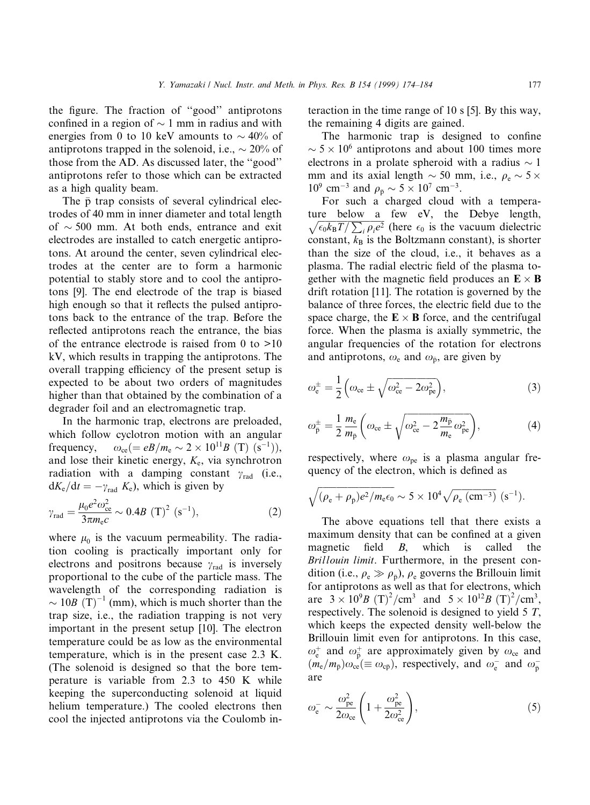the figure. The fraction of "good" antiprotons confined in a region of  $\sim$  1 mm in radius and with energies from 0 to 10 keV amounts to  $\sim 40\%$  of antiprotons trapped in the solenoid, i.e.,  $\sim 20\%$  of those from the AD. As discussed later, the ``good'' antiprotons refer to those which can be extracted as a high quality beam.

The  $\bar{p}$  trap consists of several cylindrical electrodes of 40 mm in inner diameter and total length of  $\sim$  500 mm. At both ends, entrance and exit electrodes are installed to catch energetic antiprotons. At around the center, seven cylindrical electrodes at the center are to form a harmonic potential to stably store and to cool the antiprotons [9]. The end electrode of the trap is biased high enough so that it reflects the pulsed antiprotons back to the entrance of the trap. Before the reflected antiprotons reach the entrance, the bias of the entrance electrode is raised from 0 to  $>10$ kV, which results in trapping the antiprotons. The overall trapping efficiency of the present setup is expected to be about two orders of magnitudes higher than that obtained by the combination of a degrader foil and an electromagnetic trap.

In the harmonic trap, electrons are preloaded, which follow cyclotron motion with an angular frequency,  $\omega_{\rm ce} (= eB/m_{\rm e} \sim 2 \times 10^{11} B \text{ (T) (s<sup>-1</sup>)}),$ and lose their kinetic energy,  $K_e$ , via synchrotron radiation with a damping constant  $\gamma_{\rm rad}$  (i.e.,  $dK_e/dt = -\gamma_{rad} K_e$ , which is given by

$$
\gamma_{\rm rad} = \frac{\mu_0 e^2 \omega_{\rm ce}^2}{3\pi m_{\rm e} c} \sim 0.4B \, \left(\rm T\right)^2 \, \left(\rm s^{-1}\right),\tag{2}
$$

where  $\mu_0$  is the vacuum permeability. The radiation cooling is practically important only for electrons and positrons because  $\gamma_{rad}$  is inversely proportional to the cube of the particle mass. The wavelength of the corresponding radiation is  $\sim 10B \text{ (T)}^{-1}$  (mm), which is much shorter than the trap size, i.e., the radiation trapping is not very important in the present setup [10]. The electron temperature could be as low as the environmental temperature, which is in the present case 2.3 K. (The solenoid is designed so that the bore temperature is variable from 2.3 to 450 K while keeping the superconducting solenoid at liquid helium temperature.) The cooled electrons then cool the injected antiprotons via the Coulomb interaction in the time range of 10 s [5]. By this way, the remaining 4 digits are gained.

The harmonic trap is designed to confine  $\sim$  5  $\times$  10<sup>6</sup> antiprotons and about 100 times more electrons in a prolate spheroid with a radius  $\sim$  1 mm and its axial length  $\sim$  50 mm, i.e.,  $\rho_e \sim$  5  $\times$  $10^9$  cm<sup>-3</sup> and  $\rho_{\bar{p}} \sim 5 \times 10^7$  cm<sup>-3</sup>.

For such a charged cloud with a tempera-<br>ture below a few eV, the Debye length, ture below a few eV, the Debye length,  $\sqrt{\epsilon_0 k_B T / \sum_i \rho_i e^2}$  (here  $\epsilon_0$  is the vacuum dielectric constant,  $k_B$  is the Boltzmann constant), is shorter than the size of the cloud, i.e., it behaves as a plasma. The radial electric field of the plasma together with the magnetic field produces an  $\mathbf{E} \times \mathbf{B}$ drift rotation [11]. The rotation is governed by the balance of three forces, the electric field due to the space charge, the  $\mathbf{E} \times \mathbf{B}$  force, and the centrifugal force. When the plasma is axially symmetric, the angular frequencies of the rotation for electrons and antiprotons,  $\omega_e$  and  $\omega_{\bar{p}}$ , are given by

$$
\omega_{\rm e}^{\pm} = \frac{1}{2} \left( \omega_{\rm ce} \pm \sqrt{\omega_{\rm ce}^2 - 2\omega_{\rm pe}^2} \right),\tag{3}
$$

$$
\omega_{\overline{p}}^{\pm} = \frac{1}{2} \frac{m_e}{m_{\overline{p}}} \left( \omega_{\text{ce}} \pm \sqrt{\omega_{\text{ce}}^2 - 2 \frac{m_{\overline{p}}}{m_{\text{e}}} \omega_{\text{pe}}^2} \right),\tag{4}
$$

respectively, where  $\omega_{pe}$  is a plasma angular frequency of the electron, which is defined as

$$
\sqrt{(\rho_e + \rho_{\bar{p}})e^2/m_e\epsilon_0} \sim 5 \times 10^4 \sqrt{\rho_e \text{ (cm}^{-3})} \text{ (s}^{-1}).
$$

The above equations tell that there exists a maximum density that can be confined at a given magnetic field  $B$ , which is called the Brillouin limit. Furthermore, in the present condition (i.e.,  $\rho_e \gg \rho_{\bar{p}}$ ),  $\rho_e$  governs the Brillouin limit for antiprotons as well as that for electrons, which are  $3 \times 10^9 B \text{ (T)}^2/\text{cm}^3$  and  $5 \times 10^{12} B \text{ (T)}^2/\text{cm}^3$ , respectively. The solenoid is designed to yield 5 T, which keeps the expected density well-below the Brillouin limit even for antiprotons. In this case,  $\omega_{e}^{+}$  and  $\omega_{\bar{p}}^{+}$  are approximately given by  $\omega_{ce}$  and  $(m_e/m_{\bar{p}})\omega_{ce} (\equiv \omega_{c\bar{p}})$ , respectively, and  $\omega_{e}^-$  and  $\omega_{\bar{p}}^$ are

$$
\omega_{\rm e}^- \sim \frac{\omega_{\rm pe}^2}{2\omega_{\rm ce}} \left( 1 + \frac{\omega_{\rm pe}^2}{2\omega_{\rm ce}^2} \right),\tag{5}
$$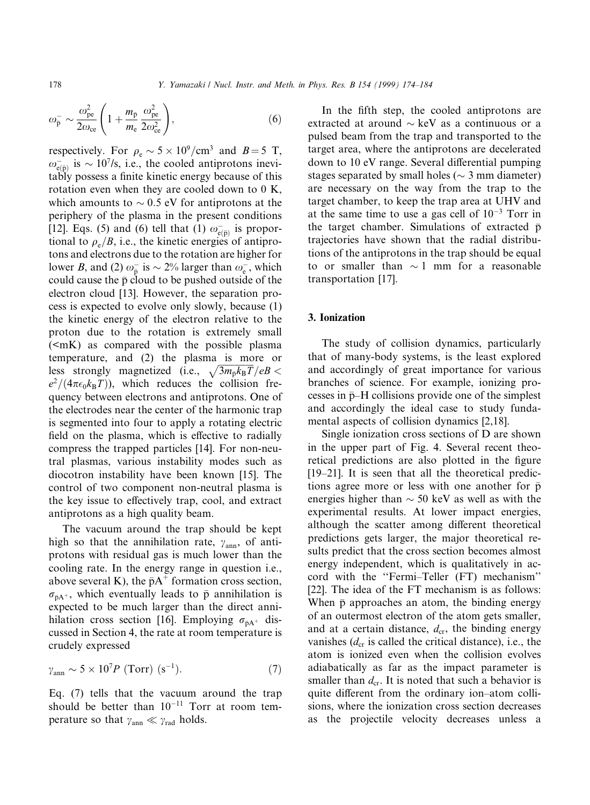$\omega_{\bar{\text{p}}} \sim \frac{\omega_{\text{pe}}^2}{2 \omega_{\text{p}}}$  $\frac{\text{pc}}{2\omega_{\text{ce}}}$  | 1  $\sqrt{ }$  $\overline{+}$  $m_{\rm \bar{p}}$ m<sub>e</sub>  $\omega_{\rm pe}^2$  $\left(\frac{\omega_{\text{pe}}^2}{2\omega_{\text{ce}}^2}\right)$  $\hspace{1.6cm}$ , (6)

respectively. For  $\rho_e \sim 5 \times 10^9/\text{cm}^3$  and  $B = 5$  T,  $\omega_{e(p)}^-$  is  $\sim 10^7$ /s, i.e., the cooled antiprotons inevitably possess a finite kinetic energy because of this rotation even when they are cooled down to 0 K, which amounts to  $\sim 0.5$  eV for antiprotons at the periphery of the plasma in the present conditions [12]. Eqs. (5) and (6) tell that (1)  $\omega_{e(\bar{p})}$  is proportional to  $\rho_e/B$ , i.e., the kinetic energies of antiprotons and electrons due to the rotation are higher for lower *B*, and (2)  $\omega_{\bar{p}}^-$  is  $\sim$  2% larger than  $\omega_{\rm e}^-$ , which could cause the  $\bar{p}$  cloud to be pushed outside of the electron cloud [13]. However, the separation process is expected to evolve only slowly, because (1) the kinetic energy of the electron relative to the proton due to the rotation is extremely small  $(**mK**)$  as compared with the possible plasma temperature, and (2) the plasma is more or less strongly magnetized (i.e.,  $\sqrt{3m_{\bar{p}}k_BT}/eB$  <  $e^2/(4\pi\epsilon_0k_BT)$ , which reduces the collision frequency between electrons and antiprotons. One of the electrodes near the center of the harmonic trap is segmented into four to apply a rotating electric field on the plasma, which is effective to radially compress the trapped particles [14]. For non-neutral plasmas, various instability modes such as diocotron instability have been known [15]. The control of two component non-neutral plasma is the key issue to effectively trap, cool, and extract antiprotons as a high quality beam.

The vacuum around the trap should be kept high so that the annihilation rate,  $\gamma_{\text{ann}}$ , of antiprotons with residual gas is much lower than the cooling rate. In the energy range in question i.e., above several K), the  $\bar{p}A^+$  formation cross section,  $\sigma_{\bar{p}A^+}$ , which eventually leads to  $\bar{p}$  annihilation is expected to be much larger than the direct annihilation cross section [16]. Employing  $\sigma_{\bar{p}A^+}$  discussed in Section 4, the rate at room temperature is crudely expressed

$$
\gamma_{\rm ann} \sim 5 \times 10^7 P \text{ (Torr) (s}^{-1}). \tag{7}
$$

Eq. (7) tells that the vacuum around the trap should be better than  $10^{-11}$  Torr at room temperature so that  $\gamma_{\text{ann}} \ll \gamma_{\text{rad}}$  holds.

In the fifth step, the cooled antiprotons are extracted at around  $\sim$  keV as a continuous or a pulsed beam from the trap and transported to the target area, where the antiprotons are decelerated down to 10 eV range. Several differential pumping stages separated by small holes ( $\sim$  3 mm diameter) are necessary on the way from the trap to the target chamber, to keep the trap area at UHV and at the same time to use a gas cell of  $10^{-3}$  Torr in the target chamber. Simulations of extracted  $\bar{p}$ trajectories have shown that the radial distributions of the antiprotons in the trap should be equal to or smaller than  $\sim$  1 mm for a reasonable transportation [17].

### 3. Ionization

The study of collision dynamics, particularly that of many-body systems, is the least explored and accordingly of great importance for various branches of science. For example, ionizing processes in  $\bar{p}-H$  collisions provide one of the simplest and accordingly the ideal case to study fundamental aspects of collision dynamics [2,18].

Single ionization cross sections of D are shown in the upper part of Fig. 4. Several recent theoretical predictions are also plotted in the figure  $[19-21]$ . It is seen that all the theoretical predictions agree more or less with one another for  $\bar{p}$ energies higher than  $\sim$  50 keV as well as with the experimental results. At lower impact energies, although the scatter among different theoretical predictions gets larger, the major theoretical results predict that the cross section becomes almost energy independent, which is qualitatively in accord with the "Fermi-Teller (FT) mechanism" [22]. The idea of the FT mechanism is as follows: When  $\bar{p}$  approaches an atom, the binding energy of an outermost electron of the atom gets smaller, and at a certain distance,  $d_{cr}$ , the binding energy vanishes  $(d_{cr}$  is called the critical distance), i.e., the atom is ionized even when the collision evolves adiabatically as far as the impact parameter is smaller than  $d_{cr}$ . It is noted that such a behavior is quite different from the ordinary ion-atom collisions, where the ionization cross section decreases as the projectile velocity decreases unless a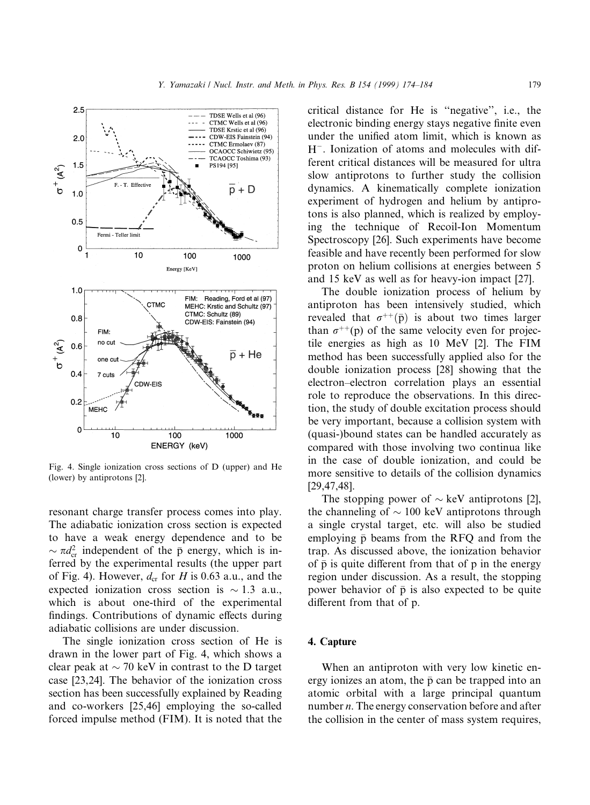

Fig. 4. Single ionization cross sections of D (upper) and He (lower) by antiprotons [2].

resonant charge transfer process comes into play. The adiabatic ionization cross section is expected to have a weak energy dependence and to be  $\sim \pi d_{\rm cr}^2$  independent of the  $\bar{p}$  energy, which is inferred by the experimental results (the upper part of Fig. 4). However,  $d_{cr}$  for H is 0.63 a.u., and the expected ionization cross section is  $\sim 1.3$  a.u., which is about one-third of the experimental findings. Contributions of dynamic effects during adiabatic collisions are under discussion.

The single ionization cross section of He is drawn in the lower part of Fig. 4, which shows a clear peak at  $\sim$  70 keV in contrast to the D target case [23,24]. The behavior of the ionization cross section has been successfully explained by Reading and co-workers [25,46] employing the so-called forced impulse method (FIM). It is noted that the

critical distance for He is "negative", i.e., the electronic binding energy stays negative finite even under the unified atom limit, which is known as  $H^-$ . Ionization of atoms and molecules with different critical distances will be measured for ultra slow antiprotons to further study the collision dynamics. A kinematically complete ionization experiment of hydrogen and helium by antiprotons is also planned, which is realized by employing the technique of Recoil-Ion Momentum Spectroscopy [26]. Such experiments have become feasible and have recently been performed for slow proton on helium collisions at energies between 5 and 15 keV as well as for heavy-ion impact [27].

The double ionization process of helium by antiproton has been intensively studied, which revealed that  $\sigma^{++}(\bar{p})$  is about two times larger than  $\sigma^{++}(p)$  of the same velocity even for projectile energies as high as 10 MeV [2]. The FIM method has been successfully applied also for the double ionization process [28] showing that the electron-electron correlation plays an essential role to reproduce the observations. In this direction, the study of double excitation process should be very important, because a collision system with (quasi-)bound states can be handled accurately as compared with those involving two continua like in the case of double ionization, and could be more sensitive to details of the collision dynamics [29,47,48].

The stopping power of  $\sim$  keV antiprotons [2], the channeling of  $\sim 100$  keV antiprotons through a single crystal target, etc. will also be studied employing  $\bar{p}$  beams from the RFQ and from the trap. As discussed above, the ionization behavior of  $\bar{p}$  is quite different from that of  $p$  in the energy region under discussion. As a result, the stopping power behavior of  $\bar{p}$  is also expected to be quite different from that of p.

## 4. Capture

When an antiproton with very low kinetic energy ionizes an atom, the  $\bar{p}$  can be trapped into an atomic orbital with a large principal quantum number *n*. The energy conservation before and after the collision in the center of mass system requires,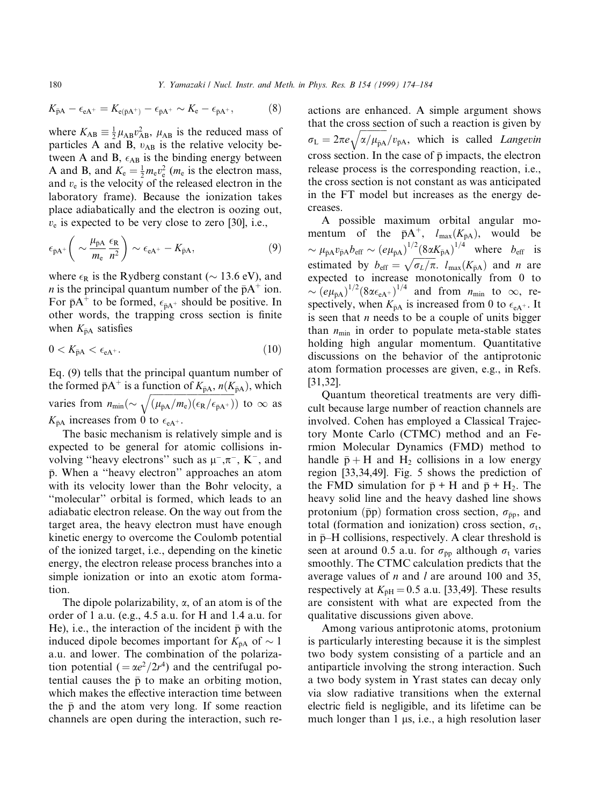$$
K_{\bar{p}A} - \epsilon_{eA^{+}} = K_{e(\bar{p}A^{+})} - \epsilon_{\bar{p}A^{+}} \sim K_{e} - \epsilon_{\bar{p}A^{+}},
$$
(8)

where  $K_{AB} \equiv \frac{1}{2} \mu_{AB} v_{AB}^2$ ,  $\mu_{AB}$  is the reduced mass of particles A and B,  $v_{AB}$  is the relative velocity between A and B,  $\epsilon_{AB}$  is the binding energy between A and B, and  $K_e = \frac{1}{2} m_e v_e^2$  ( $m_e$  is the electron mass, and  $v<sub>e</sub>$  is the velocity of the released electron in the laboratory frame). Because the ionization takes place adiabatically and the electron is oozing out,  $v_e$  is expected to be very close to zero [30], i.e.,

$$
\epsilon_{\bar{p}A^{+}}\left(\sim\frac{\mu_{\bar{p}A}}{m_{\rm e}}\frac{\epsilon_{\rm R}}{n^2}\right)\sim\epsilon_{\rm eA^{+}}-K_{\bar{p}A},\tag{9}
$$

where  $\epsilon_R$  is the Rydberg constant ( $\sim$  13.6 eV), and *n* is the principal quantum number of the  $\bar{p}A^+$  ion. For  $\bar{p}A^+$  to be formed,  $\epsilon_{\bar{p}A^+}$  should be positive. In other words, the trapping cross section is finite when  $K_{\bar{p}A}$  satisfies

$$
0 < K_{\bar{p}A} < \epsilon_{eA^+}.\tag{10}
$$

Eq. (9) tells that the principal quantum number of the formed  $\bar{p}A^+$  is a function of  $K_{\bar{p}A}$ ,  $n(K_{\bar{p}A})$ , which varies from  $n_{\min} (\sim \sqrt{(\mu_{\bar{p}A}/m_e)(\epsilon_R/\epsilon_{\bar{p}A^+})})$  to  $\infty$  as  $K_{\bar{p}A}$  increases from 0 to  $\epsilon_{eA^+}$ .

The basic mechanism is relatively simple and is expected to be general for atomic collisions involving "heavy electrons" such as  $\mu^-, \pi^-, K^-,$  and  $\bar{p}$ . When a "heavy electron" approaches an atom with its velocity lower than the Bohr velocity, a ``molecular'' orbital is formed, which leads to an adiabatic electron release. On the way out from the target area, the heavy electron must have enough kinetic energy to overcome the Coulomb potential of the ionized target, i.e., depending on the kinetic energy, the electron release process branches into a simple ionization or into an exotic atom formation.

The dipole polarizability,  $\alpha$ , of an atom is of the order of 1 a.u. (e.g., 4.5 a.u. for H and 1.4 a.u. for He), i.e., the interaction of the incident  $\bar{p}$  with the induced dipole becomes important for  $K_{\bar{p}A}$  of  $\sim 1$ a.u. and lower. The combination of the polarization potential ( $=\alpha e^2/2r^4$ ) and the centrifugal potential causes the  $\bar{p}$  to make an orbiting motion, which makes the effective interaction time between the  $\bar{p}$  and the atom very long. If some reaction channels are open during the interaction, such re-

actions are enhanced. A simple argument shows that the cross section of such a reaction is given by  $\sigma_{\rm L} = 2\pi e \sqrt{\alpha/\mu_{\rm pA}}/v_{\rm pA}$ , which is called *Langevin* cross section. In the case of  $\bar{p}$  impacts, the electron release process is the corresponding reaction, i.e., the cross section is not constant as was anticipated in the FT model but increases as the energy decreases.

A possible maximum orbital angular momentum of the  $\bar{p}A^+$ ,  $l_{\max}(K_{\bar{p}A})$ , would be  $\sim \mu_{\bar{p}A} v_{\bar{p}A} b_{\bar{e}f\bar{f}} \sim (e\mu_{\bar{p}A})^{1/2} (8\alpha K_{\bar{p}A})^{1/4}$  where  $b_{\bar{e}f\bar{f}}$  is estimated by  $b_{\text{eff}} = \sqrt{\sigma_L/\pi}$ .  $l_{\text{max}}(K_{\bar{p}A})$  and n are expected to increase monotonically from 0 to  $\sim (e\mu_{\bar{p}A})^{1/2} (8\alpha \epsilon_{eA^+})^{1/4}$  and from  $n_{\min}$  to  $\infty$ , respectively, when  $K_{\bar{p}A}$  is increased from 0 to  $\epsilon_{A^+}$ . It is seen that  $n$  needs to be a couple of units bigger than  $n_{\text{min}}$  in order to populate meta-stable states holding high angular momentum. Quantitative discussions on the behavior of the antiprotonic atom formation processes are given, e.g., in Refs. [31,32].

Quantum theoretical treatments are very difficult because large number of reaction channels are involved. Cohen has employed a Classical Trajectory Monte Carlo (CTMC) method and an Fermion Molecular Dynamics (FMD) method to handle  $\bar{p} + H$  and  $H_2$  collisions in a low energy region [33,34,49]. Fig. 5 shows the prediction of the FMD simulation for  $\bar{p}$  + H and  $\bar{p}$  + H<sub>2</sub>. The heavy solid line and the heavy dashed line shows protonium ( $\bar{p}p$ ) formation cross section,  $\sigma_{\bar{p}p}$ , and total (formation and ionization) cross section,  $\sigma_t$ , in  $\bar{p}-H$  collisions, respectively. A clear threshold is seen at around 0.5 a.u. for  $\sigma_{\bar{p}p}$  although  $\sigma_t$  varies smoothly. The CTMC calculation predicts that the average values of  $n$  and  $l$  are around 100 and 35, respectively at  $K_{\bar{p}H} = 0.5$  a.u. [33,49]. These results are consistent with what are expected from the qualitative discussions given above.

Among various antiprotonic atoms, protonium is particularly interesting because it is the simplest two body system consisting of a particle and an antiparticle involving the strong interaction. Such a two body system in Yrast states can decay only via slow radiative transitions when the external electric field is negligible, and its lifetime can be much longer than  $1 \mu s$ , i.e., a high resolution laser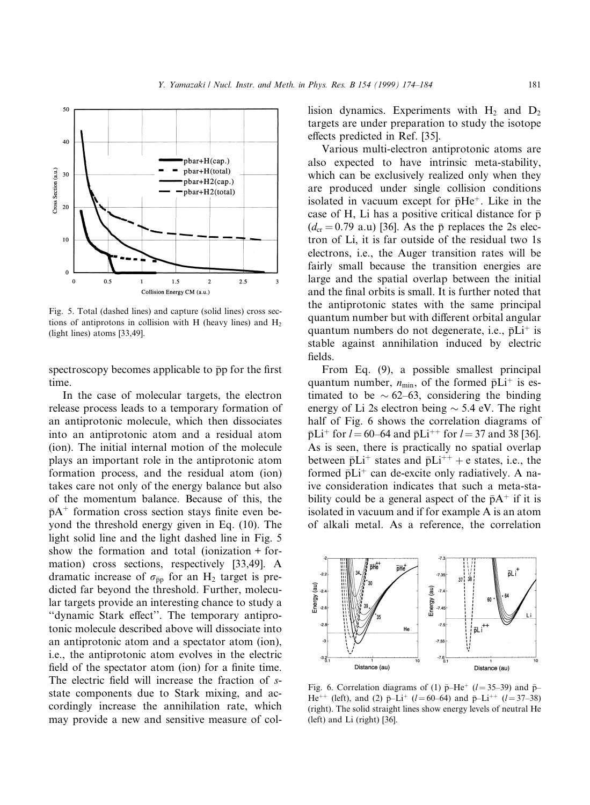

Fig. 5. Total (dashed lines) and capture (solid lines) cross sections of antiprotons in collision with H (heavy lines) and  $H_2$ (light lines) atoms [33,49].

spectroscopy becomes applicable to  $\bar{p}p$  for the first time.

In the case of molecular targets, the electron release process leads to a temporary formation of an antiprotonic molecule, which then dissociates into an antiprotonic atom and a residual atom (ion). The initial internal motion of the molecule plays an important role in the antiprotonic atom formation process, and the residual atom (ion) takes care not only of the energy balance but also of the momentum balance. Because of this, the  $\bar{p}A^+$  formation cross section stays finite even beyond the threshold energy given in Eq. (10). The light solid line and the light dashed line in Fig. 5 show the formation and total (ionization + formation) cross sections, respectively [33,49]. A dramatic increase of  $\sigma_{\bar{p}p}$  for an H<sub>2</sub> target is predicted far beyond the threshold. Further, molecular targets provide an interesting chance to study a "dynamic Stark effect". The temporary antiprotonic molecule described above will dissociate into an antiprotonic atom and a spectator atom (ion), i.e., the antiprotonic atom evolves in the electric field of the spectator atom (ion) for a finite time. The electric field will increase the fraction of sstate components due to Stark mixing, and accordingly increase the annihilation rate, which may provide a new and sensitive measure of collision dynamics. Experiments with  $H_2$  and  $D_2$ targets are under preparation to study the isotope effects predicted in Ref. [35].

Various multi-electron antiprotonic atoms are also expected to have intrinsic meta-stability, which can be exclusively realized only when they are produced under single collision conditions isolated in vacuum except for  $\bar{p}He^+$ . Like in the case of H, Li has a positive critical distance for  $\bar{p}$  $(d_{cr} = 0.79 \text{ a.u})$  [36]. As the  $\bar{p}$  replaces the 2s electron of Li, it is far outside of the residual two 1s electrons, i.e., the Auger transition rates will be fairly small because the transition energies are large and the spatial overlap between the initial and the final orbits is small. It is further noted that the antiprotonic states with the same principal quantum number but with different orbital angular quantum numbers do not degenerate, i.e.,  $\bar{p}Li^{+}$  is stable against annihilation induced by electric fields.

From Eq. (9), a possible smallest principal quantum number,  $n_{\text{min}}$ , of the formed  $\bar{p}Li^{+}$  is estimated to be  $\sim 62-63$ , considering the binding energy of Li 2s electron being  $\sim$  5.4 eV. The right half of Fig. 6 shows the correlation diagrams of  $\bar{p}Li^{+}$  for  $l = 60-64$  and  $\bar{p}Li^{++}$  for  $l = 37$  and 38 [36]. As is seen, there is practically no spatial overlap between  $\bar{p}Li^{+}$  states and  $\bar{p}Li^{++}$  + e states, i.e., the formed  $\bar{p}Li^+$  can de-excite only radiatively. A naive consideration indicates that such a meta-stability could be a general aspect of the  $\bar{p}A^+$  if it is isolated in vacuum and if for example A is an atom of alkali metal. As a reference, the correlation



Fig. 6. Correlation diagrams of (1)  $\bar{p}-\text{He}^+$  (l = 35–39) and  $\bar{p}-$ He<sup>++</sup> (left), and (2)  $\bar{p}-Li^+$  (l = 60–64) and  $\bar{p}-Li^{++}$  (l = 37–38) (right). The solid straight lines show energy levels of neutral He (left) and Li (right) [36].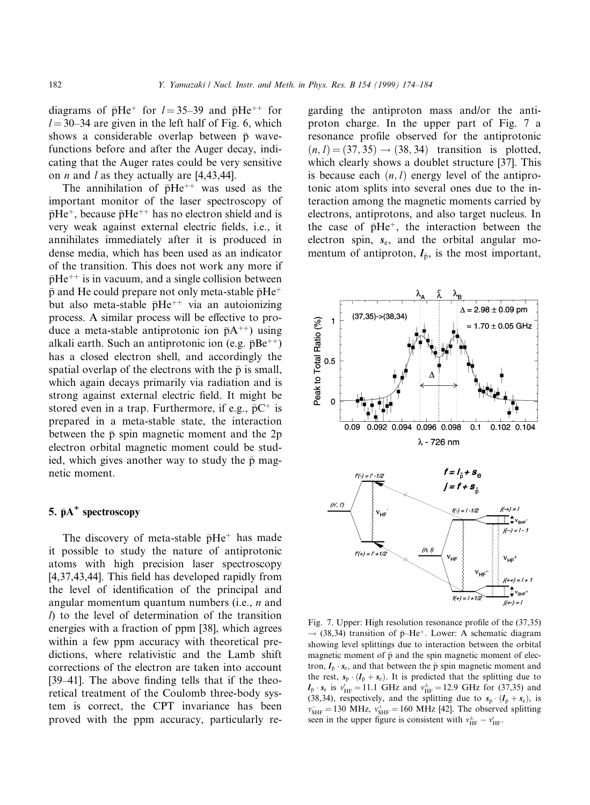diagrams of  $\bar{p}He^+$  for  $l = 35-39$  and  $\bar{p}He^{++}$  for  $l = 30-34$  are given in the left half of Fig. 6, which shows a considerable overlap between  $\bar{p}$  wavefunctions before and after the Auger decay, indicating that the Auger rates could be very sensitive on *n* and *l* as they actually are  $[4,43,44]$ .

The annihilation of  $\bar{p}He^{++}$  was used as the important monitor of the laser spectroscopy of  $\bar{p}He^{+}$ , because  $\bar{p}He^{++}$  has no electron shield and is very weak against external electric fields, i.e., it annihilates immediately after it is produced in dense media, which has been used as an indicator of the transition. This does not work any more if  $\bar{p}He^{++}$  is in vacuum, and a single collision between  $\bar{p}$  and He could prepare not only meta-stable  $\bar{p}He^+$ but also meta-stable  $\bar{p}He^{++}$  via an autoionizing process. A similar process will be effective to produce a meta-stable antiprotonic ion  $\bar{p}A^{++}$ ) using alkali earth. Such an antiprotonic ion (e.g.  $\bar{p}Be^{++}$ ) has a closed electron shell, and accordingly the spatial overlap of the electrons with the  $\bar{p}$  is small, which again decays primarily via radiation and is strong against external electric field. It might be stored even in a trap. Furthermore, if e.g.,  $\bar{p}C^+$  is prepared in a meta-stable state, the interaction between the  $\bar{p}$  spin magnetic moment and the 2p electron orbital magnetic moment could be studied, which gives another way to study the  $\bar{p}$  magnetic moment.

# 5.  $\bar{p}A^+$  spectroscopy

The discovery of meta-stable  $\bar{p}He^+$  has made it possible to study the nature of antiprotonic atoms with high precision laser spectroscopy  $[4,37,43,44]$ . This field has developed rapidly from the level of identification of the principal and angular momentum quantum numbers (i.e., n and  $l$ ) to the level of determination of the transition energies with a fraction of ppm [38], which agrees within a few ppm accuracy with theoretical predictions, where relativistic and the Lamb shift corrections of the electron are taken into account [39 $-41$ ]. The above finding tells that if the theoretical treatment of the Coulomb three-body system is correct, the CPT invariance has been proved with the ppm accuracy, particularly re-

garding the antiproton mass and/or the antiproton charge. In the upper part of Fig. 7 a resonance profile observed for the antiprotonic  $(n, l) = (37, 35) \rightarrow (38, 34)$  transition is plotted, which clearly shows a doublet structure [37]. This is because each  $(n, l)$  energy level of the antiprotonic atom splits into several ones due to the interaction among the magnetic moments carried by electrons, antiprotons, and also target nucleus. In the case of  $\bar{p}He^+$ , the interaction between the electron spin,  $s_e$ , and the orbital angular momentum of antiproton,  $l_{\bar{p}}$ , is the most important,



Fig. 7. Upper: High resolution resonance profile of the  $(37,35)$  $\rightarrow$  (38,34) transition of  $\bar{p}-He^+$ . Lower: A schematic diagram showing level splittings due to interaction between the orbital magnetic moment of  $\bar{p}$  and the spin magnetic moment of electron,  $I_{\bar{p}} \cdot s_e$ , and that between the  $\bar{p}$  spin magnetic moment and the rest,  $s_{\bar{p}} \cdot (l_{\bar{p}} + s_{\bar{e}})$ . It is predicted that the splitting due to  $l_{\bar{p}} \cdot s_e$  is  $v'_{\text{HF}} = 11.1 \text{ GHz}$  and  $v^{\pm}_{\text{HF}} = 12.9 \text{ GHz}$  for (37,35) and (38,34), respectively, and the splitting due to  $s_{\bar{p}} \cdot (l_{\bar{p}} + s_{\bar{e}})$ , is  $v_{\text{SHF}}^{\text{+}} = 130 \text{ MHz}, v_{\text{SHF}}^{\text{+}} = 160 \text{ MHz}$  [42]. The observed splitting seen in the upper figure is consistent with  $v_{HF}^{\pm} - v_{HF}'$ .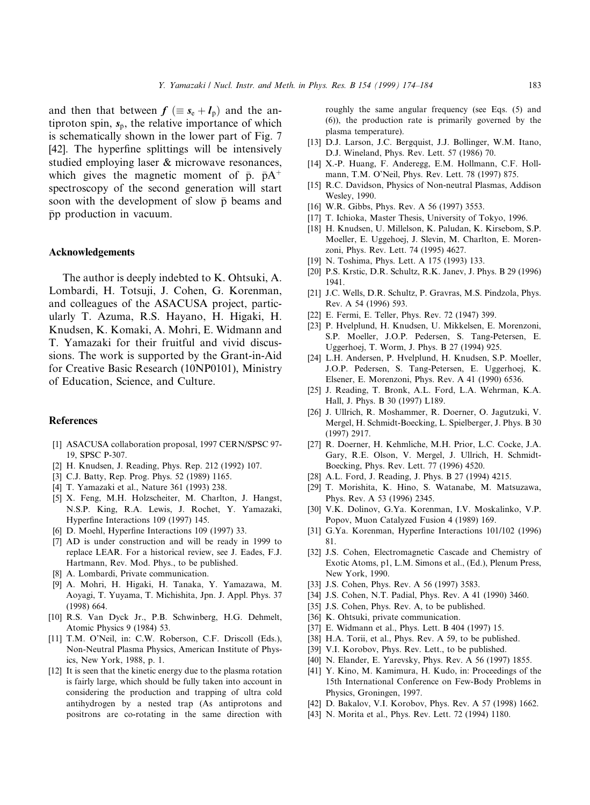and then that between  $f \equiv s_e + l_{\overline{p}}$  and the antiproton spin,  $s_{\bar{p}}$ , the relative importance of which is schematically shown in the lower part of Fig. 7 [42]. The hyperfine splittings will be intensively studied employing laser & microwave resonances, which gives the magnetic moment of  $\bar{p}$ .  $\bar{p}A^{+}$ spectroscopy of the second generation will start soon with the development of slow  $\bar{p}$  beams and pp production in vacuum.

#### Acknowledgements

The author is deeply indebted to K. Ohtsuki, A. Lombardi, H. Totsuji, J. Cohen, G. Korenman, and colleagues of the ASACUSA project, particularly T. Azuma, R.S. Hayano, H. Higaki, H. Knudsen, K. Komaki, A. Mohri, E. Widmann and T. Yamazaki for their fruitful and vivid discussions. The work is supported by the Grant-in-Aid for Creative Basic Research (10NP0101), Ministry of Education, Science, and Culture.

#### References

- [1] ASACUSA collaboration proposal, 1997 CERN/SPSC 97- 19, SPSC P-307.
- [2] H. Knudsen, J. Reading, Phys. Rep. 212 (1992) 107.
- [3] C.J. Batty, Rep. Prog. Phys. 52 (1989) 1165.
- [4] T. Yamazaki et al., Nature 361 (1993) 238.
- [5] X. Feng, M.H. Holzscheiter, M. Charlton, J. Hangst, N.S.P. King, R.A. Lewis, J. Rochet, Y. Yamazaki, Hyperfine Interactions 109 (1997) 145.
- [6] D. Moehl, Hyperfine Interactions 109 (1997) 33.
- [7] AD is under construction and will be ready in 1999 to replace LEAR. For a historical review, see J. Eades, F.J. Hartmann, Rev. Mod. Phys., to be published.
- [8] A. Lombardi, Private communication.
- [9] A. Mohri, H. Higaki, H. Tanaka, Y. Yamazawa, M. Aoyagi, T. Yuyama, T. Michishita, Jpn. J. Appl. Phys. 37 (1998) 664.
- [10] R.S. Van Dyck Jr., P.B. Schwinberg, H.G. Dehmelt, Atomic Physics 9 (1984) 53.
- [11] T.M. O'Neil, in: C.W. Roberson, C.F. Driscoll (Eds.), Non-Neutral Plasma Physics, American Institute of Physics, New York, 1988, p. 1.
- [12] It is seen that the kinetic energy due to the plasma rotation is fairly large, which should be fully taken into account in considering the production and trapping of ultra cold antihydrogen by a nested trap (As antiprotons and positrons are co-rotating in the same direction with

roughly the same angular frequency (see Eqs. (5) and (6)), the production rate is primarily governed by the plasma temperature).

- [13] D.J. Larson, J.C. Bergquist, J.J. Bollinger, W.M. Itano, D.J. Wineland, Phys. Rev. Lett. 57 (1986) 70.
- [14] X.-P. Huang, F. Anderegg, E.M. Hollmann, C.F. Hollmann, T.M. O'Neil, Phys. Rev. Lett. 78 (1997) 875.
- [15] R.C. Davidson, Physics of Non-neutral Plasmas, Addison Wesley, 1990.
- [16] W.R. Gibbs, Phys. Rev. A 56 (1997) 3553.
- [17] T. Ichioka, Master Thesis, University of Tokyo, 1996.
- [18] H. Knudsen, U. Millelson, K. Paludan, K. Kirsebom, S.P. Moeller, E. Uggehoej, J. Slevin, M. Charlton, E. Morenzoni, Phys. Rev. Lett. 74 (1995) 4627.
- [19] N. Toshima, Phys. Lett. A 175 (1993) 133.
- [20] P.S. Krstic, D.R. Schultz, R.K. Janev, J. Phys. B 29 (1996) 1941.
- [21] J.C. Wells, D.R. Schultz, P. Gravras, M.S. Pindzola, Phys. Rev. A 54 (1996) 593.
- [22] E. Fermi, E. Teller, Phys. Rev. 72 (1947) 399.
- [23] P. Hvelplund, H. Knudsen, U. Mikkelsen, E. Morenzoni, S.P. Moeller, J.O.P. Pedersen, S. Tang-Petersen, E. Uggerhoej, T. Worm, J. Phys. B 27 (1994) 925.
- [24] L.H. Andersen, P. Hvelplund, H. Knudsen, S.P. Moeller, J.O.P. Pedersen, S. Tang-Petersen, E. Uggerhoej, K. Elsener, E. Morenzoni, Phys. Rev. A 41 (1990) 6536.
- [25] J. Reading, T. Bronk, A.L. Ford, L.A. Wehrman, K.A. Hall, J. Phys. B 30 (1997) L189.
- [26] J. Ullrich, R. Moshammer, R. Doerner, O. Jagutzuki, V. Mergel, H. Schmidt-Boecking, L. Spielberger, J. Phys. B 30 (1997) 2917.
- [27] R. Doerner, H. Kehmliche, M.H. Prior, L.C. Cocke, J.A. Gary, R.E. Olson, V. Mergel, J. Ullrich, H. Schmidt-Boecking, Phys. Rev. Lett. 77 (1996) 4520.
- [28] A.L. Ford, J. Reading, J. Phys. B 27 (1994) 4215.
- [29] T. Morishita, K. Hino, S. Watanabe, M. Matsuzawa, Phys. Rev. A 53 (1996) 2345.
- [30] V.K. Dolinov, G.Ya. Korenman, I.V. Moskalinko, V.P. Popov, Muon Catalyzed Fusion 4 (1989) 169.
- [31] G.Ya. Korenman, Hyperfine Interactions 101/102 (1996) 81.
- [32] J.S. Cohen, Electromagnetic Cascade and Chemistry of Exotic Atoms, p1, L.M. Simons et al., (Ed.), Plenum Press, New York, 1990.
- [33] J.S. Cohen, Phys. Rev. A 56 (1997) 3583.
- [34] J.S. Cohen, N.T. Padial, Phys. Rev. A 41 (1990) 3460.
- [35] J.S. Cohen, Phys. Rev. A, to be published.
- [36] K. Ohtsuki, private communication.
- [37] E. Widmann et al., Phys. Lett. B 404 (1997) 15.
- [38] H.A. Torii, et al., Phys. Rev. A 59, to be published.
- [39] V.I. Korobov, Phys. Rev. Lett., to be published.
- [40] N. Elander, E. Yarevsky, Phys. Rev. A 56 (1997) 1855.
- [41] Y. Kino, M. Kamimura, H. Kudo, in: Proceedings of the 15th International Conference on Few-Body Problems in Physics, Groningen, 1997.
- [42] D. Bakalov, V.I. Korobov, Phys. Rev. A 57 (1998) 1662.
- [43] N. Morita et al., Phys. Rev. Lett. 72 (1994) 1180.